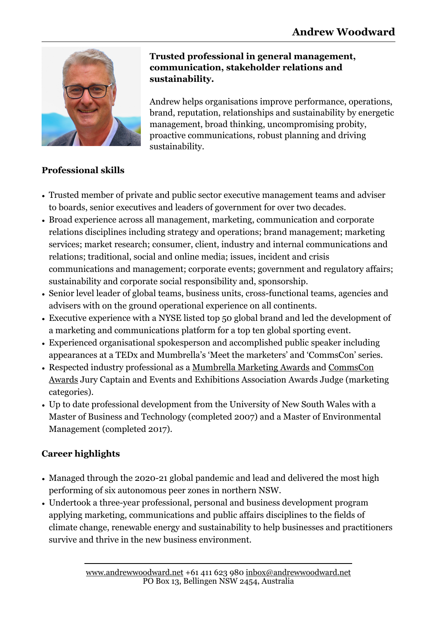

#### **Trusted professional in general management, communication, stakeholder relations and sustainability.**

Andrew helps organisations improve performance, operations, brand, reputation, relationships and sustainability by energetic management, broad thinking, uncompromising probity, proactive communications, robust planning and driving sustainability.

#### **Professional skills**

- Trusted member of private and public sector executive management teams and adviser to boards, senior executives and leaders of government for over two decades.
- Broad experience across all management, marketing, communication and corporate relations disciplines including strategy and operations; brand management; marketing services; market research; consumer, client, industry and internal communications and relations; traditional, social and online media; issues, incident and crisis communications and management; corporate events; government and regulatory affairs; sustainability and corporate social responsibility and, sponsorship.
- Senior level leader of global teams, business units, cross-functional teams, agencies and advisers with on the ground operational experience on all continents.
- Executive experience with a NYSE listed top 50 global brand and led the development of a marketing and communications platform for a top ten global sporting event.
- Experienced organisational spokesperson and accomplished public speaker including appearances at a TEDx and Mumbrella's 'Meet the marketers' and 'CommsCon' series.
- Respected industry professional as a [Mumbrella Marketing Awards](https://mumbrella.com.au/mumbrellaawards) and [CommsCon](https://mumbrella.com.au/commsconawards)  [Awards](https://mumbrella.com.au/commsconawards) Jury Captain and Events and Exhibitions Association Awards Judge (marketing categories).
- Up to date professional development from the University of New South Wales with a Master of Business and Technology (completed 2007) and a Master of Environmental Management (completed 2017).

## **Career highlights**

- Managed through the 2020-21 global pandemic and lead and delivered the most high performing of six autonomous peer zones in northern NSW.
- Undertook a three-year professional, personal and business development program applying marketing, communications and public affairs disciplines to the fields of climate change, renewable energy and sustainability to help businesses and practitioners survive and thrive in the new business environment.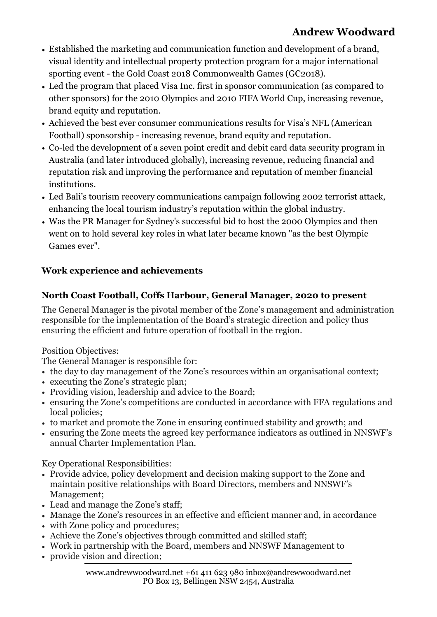# **Andrew Woodward**

- Established the marketing and communication function and development of a brand, visual identity and intellectual property protection program for a major international sporting event - the Gold Coast 2018 Commonwealth Games (GC2018).
- Led the program that placed Visa Inc. first in sponsor communication (as compared to other sponsors) for the 2010 Olympics and 2010 FIFA World Cup, increasing revenue, brand equity and reputation.
- Achieved the best ever consumer communications results for Visa's NFL (American Football) sponsorship - increasing revenue, brand equity and reputation.
- Co-led the development of a seven point credit and debit card data security program in Australia (and later introduced globally), increasing revenue, reducing financial and reputation risk and improving the performance and reputation of member financial institutions.
- Led Bali's tourism recovery communications campaign following 2002 terrorist attack, enhancing the local tourism industry's reputation within the global industry.
- Was the PR Manager for Sydney's successful bid to host the 2000 Olympics and then went on to hold several key roles in what later became known "as the best Olympic Games ever".

## **Work experience and achievements**

## **North Coast Football, Coffs Harbour, General Manager, 2020 to present**

The General Manager is the pivotal member of the Zone's management and administration responsible for the implementation of the Board's strategic direction and policy thus ensuring the efficient and future operation of football in the region.

Position Objectives:

The General Manager is responsible for:

- the day to day management of the Zone's resources within an organisational context;
- executing the Zone's strategic plan;
- Providing vision, leadership and advice to the Board;
- ensuring the Zone's competitions are conducted in accordance with FFA regulations and local policies;
- to market and promote the Zone in ensuring continued stability and growth; and
- ensuring the Zone meets the agreed key performance indicators as outlined in NNSWF's annual Charter Implementation Plan.

Key Operational Responsibilities:

- Provide advice, policy development and decision making support to the Zone and maintain positive relationships with Board Directors, members and NNSWF's Management;
- Lead and manage the Zone's staff;
- Manage the Zone's resources in an effective and efficient manner and, in accordance
- with Zone policy and procedures;
- Achieve the Zone's objectives through committed and skilled staff;
- Work in partnership with the Board, members and NNSWF Management to
- provide vision and direction;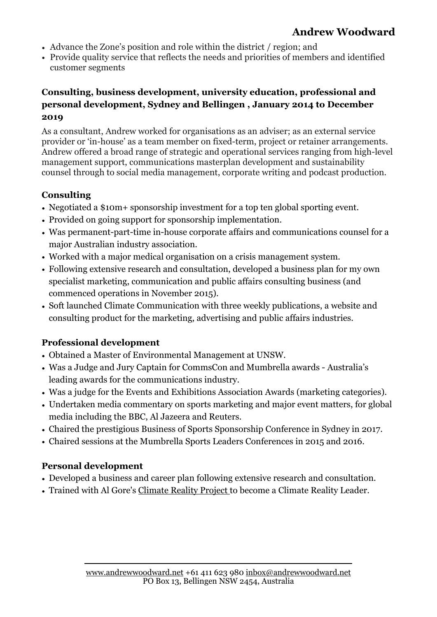# **Andrew Woodward**

- Advance the Zone's position and role within the district / region; and
- Provide quality service that reflects the needs and priorities of members and identified customer segments

### **Consulting, business development, university education, professional and personal development, Sydney and Bellingen , January 2014 to December 2019**

As a consultant, Andrew worked for organisations as an adviser; as an external service provider or 'in-house' as a team member on fixed-term, project or retainer arrangements. Andrew offered a broad range of strategic and operational services ranging from high-level management support, communications masterplan development and sustainability counsel through to social media management, corporate writing and podcast production.

### **Consulting**

- Negotiated a \$10m+ sponsorship investment for a top ten global sporting event.
- Provided on going support for sponsorship implementation.
- Was permanent-part-time in-house corporate affairs and communications counsel for a major Australian industry association.
- Worked with a major medical organisation on a crisis management system.
- Following extensive research and consultation, developed a business plan for my own specialist marketing, communication and public affairs consulting business (and commenced operations in November 2015).
- Soft launched Climate Communication with three weekly publications, a website and consulting product for the marketing, advertising and public affairs industries.

## **Professional development**

- Obtained a Master of Environmental Management at UNSW.
- Was a Judge and Jury Captain for CommsCon and Mumbrella awards Australia's leading awards for the communications industry.
- Was a judge for the Events and Exhibitions Association Awards (marketing categories).
- Undertaken media commentary on sports marketing and major event matters, for global media including the BBC, Al Jazeera and Reuters.
- Chaired the prestigious [Business of Sports Sponsorship](http://sportsleaders.com.au) Conference in Sydney in 2017.
- Chaired sessions at the Mumbrella Sports Leaders Conferences in 2015 and 2016.

#### **Personal development**

- Developed a business and career plan following extensive research and consultation.
- Trained with Al Gore's [Climate Reality Project](https://www.climaterealityproject.org/) to become a Climate Reality Leader.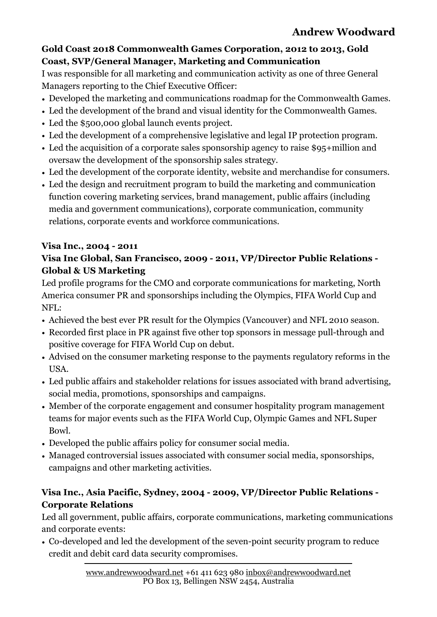#### **[Gold Coast 2018 Commonwealth Games Corporation,](http://www.goldoc.com) 2012 to 2013, Gold Coast, SVP/General Manager, Marketing and Communication**

I was responsible for all marketing and communication activity as one of three General Managers reporting to the Chief Executive Officer:

- Developed the marketing and communications roadmap for the Commonwealth Games.
- Led the development of the brand and visual identity for the Commonwealth Games.
- Led the \$500,000 global launch events project.
- Led the development of a comprehensive legislative and legal IP protection program.
- Led the acquisition of a corporate sales sponsorship agency to raise \$95+million and oversaw the development of the sponsorship sales strategy.
- Led the development of the corporate identity, website and merchandise for consumers.
- Led the design and recruitment program to build the marketing and communication function covering marketing services, brand management, public affairs (including media and government communications), corporate communication, community relations, corporate events and workforce communications.

#### **[Visa](http://corporate.visa.com) Inc., 2004 - 2011 Visa Inc Global, San Francisco, 2009 - 2011, VP/Director Public Relations - Global & US Marketing**

Led profile programs for the CMO and corporate communications for marketing, North America consumer PR and sponsorships including the Olympics, FIFA World Cup and NFL:

- Achieved the best ever PR result for the Olympics (Vancouver) and NFL 2010 season.
- Recorded first place in PR against five other top sponsors in message pull-through and positive coverage for FIFA World Cup on debut.
- Advised on the consumer marketing response to the payments regulatory reforms in the USA.
- Led public affairs and stakeholder relations for issues associated with brand advertising, social media, promotions, sponsorships and campaigns.
- Member of the corporate engagement and consumer hospitality program management teams for major events such as the FIFA World Cup, Olympic Games and NFL Super Bowl.
- Developed the public affairs policy for consumer social media.
- Managed controversial issues associated with consumer social media, sponsorships, campaigns and other marketing activities.

### **Visa Inc., [Asia Pacific,](http://www.visa-asia.com) Sydney, 2004 - 2009, VP/Director Public Relations - Corporate Relations**

Led all government, public affairs, corporate communications, marketing communications and corporate events:

• Co-developed and led the development of the seven-point security program to reduce credit and debit card data security compromises.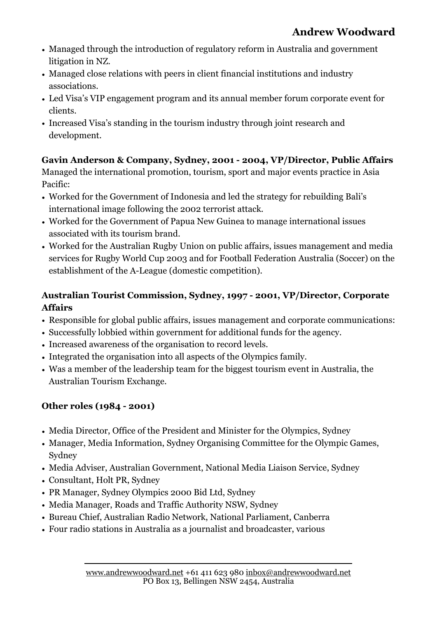- Managed through the introduction of regulatory reform in Australia and government litigation in NZ.
- Managed close relations with peers in client financial institutions and industry associations.
- Led Visa's VIP engagement program and its annual member forum corporate event for clients.
- Increased Visa's standing in the tourism industry through joint research and development.

# **[Gavin Anderson & Company,](http://www.kreabgavinanderson.com/) Sydney, 2001 - 2004, VP/Director, Public Affairs**

Managed the international promotion, tourism, sport and major events practice in Asia Pacific:

- Worked for the Government of Indonesia and led the strategy for rebuilding Bali's international image following the 2002 terrorist attack.
- Worked for the Government of Papua New Guinea to manage international issues associated with its tourism brand.
- Worked for the Australian Rugby Union on public affairs, issues management and media services for Rugby World Cup 2003 and for Football Federation Australia (Soccer) on the establishment of the A-League (domestic competition).

## **[Australian Tourist Commission,](http://www.tourism.australia.com/en-au/) Sydney, 1997 - 2001, VP/Director, Corporate Affairs**

- Responsible for global public affairs, issues management and corporate communications:
- Successfully lobbied within government for additional funds for the agency.
- Increased awareness of the organisation to record levels.
- Integrated the organisation into all aspects of the Olympics family.
- Was a member of the leadership team for the biggest tourism event in Australia, the Australian Tourism Exchange.

# **Other roles (1984 - 2001)**

- Media Director, Office of the President and Minister for the Olympics, Sydney
- Manager, Media Information, Sydney Organising Committee for the Olympic Games, Sydney
- Media Adviser, Australian Government, National Media Liaison Service, Sydney
- Consultant, Holt PR, Sydney
- PR Manager, Sydney Olympics 2000 Bid Ltd, Sydney
- Media Manager, Roads and Traffic Authority NSW, Sydney
- Bureau Chief, Australian Radio Network, National Parliament, Canberra
- Four radio stations in Australia as a journalist and broadcaster, various